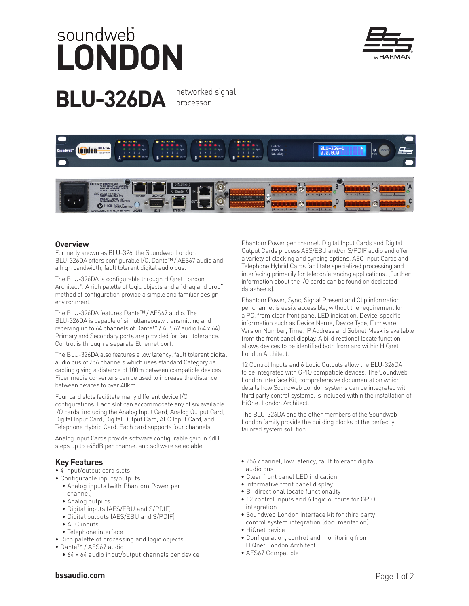## soundweb **LONDON**





processor



## **Overview**

Formerly known as BLU-326, the Soundweb London BLU-326DA offers configurable I/O, Dante™ / AES67 audio and a high bandwidth, fault tolerant digital audio bus.

The BLU-326DA is configurable through HiQnet London Architect™. A rich palette of logic objects and a "drag and drop" method of configuration provide a simple and familiar design environment.

The BLU-326DA features Dante™ / AES67 audio. The BLU-326DA is capable of simultaneously transmitting and receiving up to 64 channels of Dante™ / AES67 audio (64 x 64). Primary and Secondary ports are provided for fault tolerance. Control is through a separate Ethernet port.

The BLU-326DA also features a low latency, fault tolerant digital audio bus of 256 channels which uses standard Category 5e cabling giving a distance of 100m between compatible devices. Fiber media converters can be used to increase the distance between devices to over 40km.

Four card slots facilitate many different device I/O configurations. Each slot can accommodate any of six available I/O cards, including the Analog Input Card, Analog Output Card, Digital Input Card, Digital Output Card, AEC Input Card, and Telephone Hybrid Card. Each card supports four channels.

Analog Input Cards provide software configurable gain in 6dB steps up to +48dB per channel and software selectable

## **Key Features**

- 4 input/output card slots
- Configurable inputs/outputs
	- Analog inputs (with Phantom Power per channel)
	- Analog outputs
	- Digital inputs (AES/EBU and S/PDIF)
	- Digital outputs (AES/EBU and S/PDIF)
	- AEC inputs
	- Telephone interface
- Rich palette of processing and logic objects
- Dante™ / AES67 audio
	- 64 x 64 audio input/output channels per device

Phantom Power per channel. Digital Input Cards and Digital Output Cards process AES/EBU and/or S/PDIF audio and offer a variety of clocking and syncing options. AEC Input Cards and Telephone Hybrid Cards facilitate specialized processing and interfacing primarily for teleconferencing applications. (Further information about the I/O cards can be found on dedicated datasheets).

Phantom Power, Sync, Signal Present and Clip information per channel is easily accessible, without the requirement for a PC, from clear front panel LED indication. Device-specific information such as Device Name, Device Type, Firmware Version Number, Time, IP Address and Subnet Mask is available from the front panel display. A bi-directional locate function allows devices to be identified both from and within HiQnet London Architect.

12 Control Inputs and 6 Logic Outputs allow the BLU-326DA to be integrated with GPIO compatible devices. The Soundweb London Interface Kit, comprehensive documentation which details how Soundweb London systems can be integrated with third party control systems, is included within the installation of HiQnet London Architect.

The BLU-326DA and the other members of the Soundweb London family provide the building blocks of the perfectly tailored system solution.

- 256 channel, low latency, fault tolerant digital audio bus
- Clear front panel LED indication
- Informative front panel display
- Bi-directional locate functionality
- 12 control inputs and 6 logic outputs for GPIO integration
- Soundweb London interface kit for third party control system integration (documentation)
- HiQnet device
- Configuration, control and monitoring from HiQnet London Architect
- AES67 Compatible